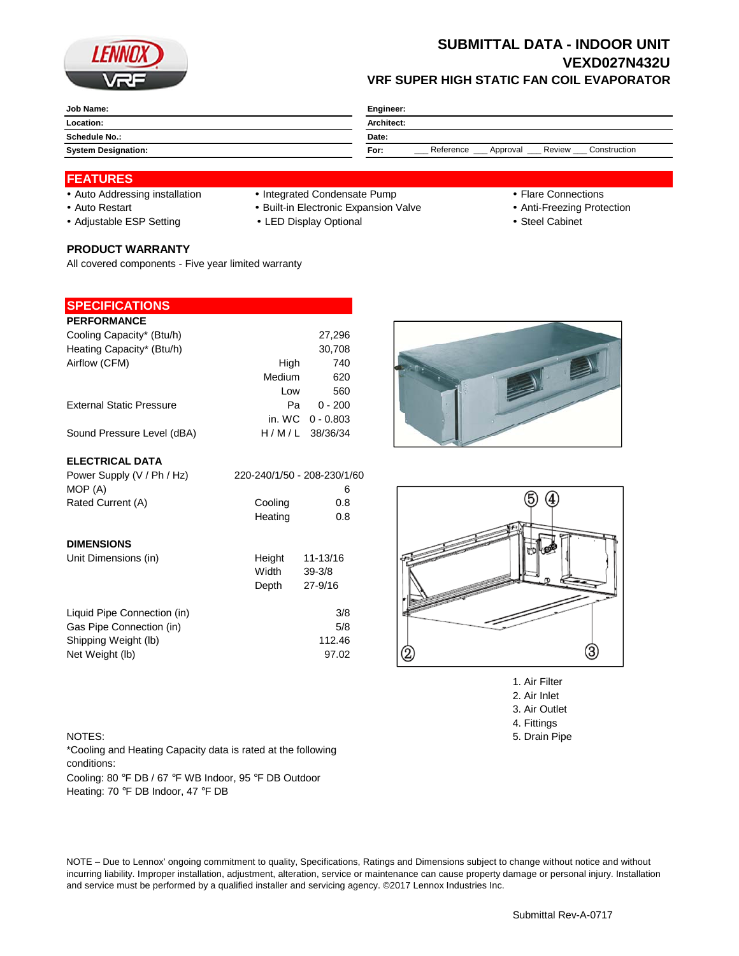

# **SUBMITTAL DATA - INDOOR UNIT VEXD027N432U VRF SUPER HIGH STATIC FAN COIL EVAPORATOR**

| Job Name:                  | Engineer:                                               |  |  |
|----------------------------|---------------------------------------------------------|--|--|
| Location:                  | <b>Architect:</b>                                       |  |  |
| <b>Schedule No.:</b>       | Date:                                                   |  |  |
| <b>System Designation:</b> | Reference<br>Review<br>Construction<br>Approval<br>For: |  |  |

### **FEATURES**

- Auto Addressing installation Integrated Condensate Pump Tlare Connections
- Auto Restart **Built-in Electronic Expansion Valve Anti-Freezing Protection**
- Adjustable ESP Setting **CHACK CHACK CHACK CHACK CHACK CHACK Steel Cabinet Steel Cabinet**

#### **PRODUCT WARRANTY**

All covered components - Five year limited warranty

#### **SPECIFICATIONS**

| <b>PERFORMANCE</b>              |        |                    |
|---------------------------------|--------|--------------------|
| Cooling Capacity* (Btu/h)       |        | 27,296             |
| Heating Capacity* (Btu/h)       |        | 30,708             |
| Airflow (CFM)                   | High   | 740                |
|                                 | Medium | 620                |
|                                 | Low    | 560                |
| <b>External Static Pressure</b> | Pа     | $0 - 200$          |
|                                 |        | in. WC $0 - 0.803$ |
| Sound Pressure Level (dBA)      |        | H/M/L 38/36/34     |

#### **ELECTRICAL DATA**

| Power Supply (V / Ph / Hz)  | 220-240/1/50 - 208-230/1/60 |             |
|-----------------------------|-----------------------------|-------------|
| MOP (A)                     |                             | 6           |
| Rated Current (A)           | Cooling                     | 0.8         |
|                             | Heating                     | 0.8         |
| <b>DIMENSIONS</b>           |                             |             |
| Unit Dimensions (in)        | Height                      | 11-13/16    |
|                             | Width                       | $39 - 3/8$  |
|                             | Depth                       | $27 - 9/16$ |
| Liquid Pipe Connection (in) |                             | 3/8         |
| Gas Pipe Connection (in)    |                             | 5/8         |
| Shipping Weight (lb)        |                             | 112.46      |
| Net Weight (lb)             |                             | 97.02       |



1. Air Filter

- 2. Air Inlet
- 3. Air Outlet 4. Fittings
- 
- 

NOTES: 5. Drain Pipe \*Cooling and Heating Capacity data is rated at the following conditions:

Cooling: 80 °F DB / 67 °F WB Indoor, 95 °F DB Outdoor Heating: 70 °F DB Indoor, 47 °F DB

NOTE – Due to Lennox' ongoing commitment to quality, Specifications, Ratings and Dimensions subject to change without notice and without incurring liability. Improper installation, adjustment, alteration, service or maintenance can cause property damage or personal injury. Installation and service must be performed by a qualified installer and servicing agency. ©2017 Lennox Industries Inc.